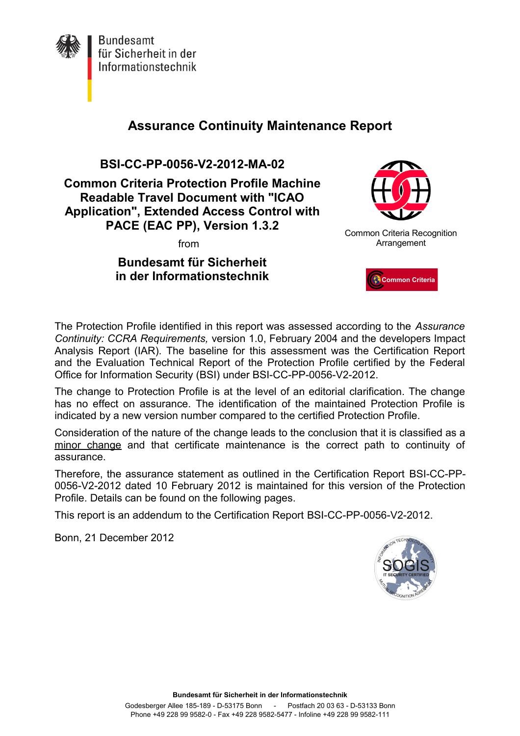

**Bundesamt** für Sicherheit in der Informationstechnik

# **Assurance Continuity Maintenance Report**

**BSI-CC-PP-0056-V2-2012-MA-02**

**Common Criteria Protection Profile Machine Readable Travel Document with "ICAO Application", Extended Access Control with PACE (EAC PP), Version 1.3.2**

from

## **Bundesamt für Sicherheit in der Informationstechnik**



Common Criteria Recognition Arrangement



The Protection Profile identified in this report was assessed according to the *Assurance Continuity: CCRA Requirements,* version 1.0, February 2004 and the developers Impact Analysis Report (IAR). The baseline for this assessment was the Certification Report and the Evaluation Technical Report of the Protection Profile certified by the Federal Office for Information Security (BSI) under BSI-CC-PP-0056-V2-2012.

The change to Protection Profile is at the level of an editorial clarification. The change has no effect on assurance. The identification of the maintained Protection Profile is indicated by a new version number compared to the certified Protection Profile.

Consideration of the nature of the change leads to the conclusion that it is classified as a minor change and that certificate maintenance is the correct path to continuity of assurance.

Therefore, the assurance statement as outlined in the Certification Report BSI-CC-PP-0056-V2-2012 dated 10 February 2012 is maintained for this version of the Protection Profile. Details can be found on the following pages.

This report is an addendum to the Certification Report BSI-CC-PP-0056-V2-2012.

Bonn, 21 December 2012

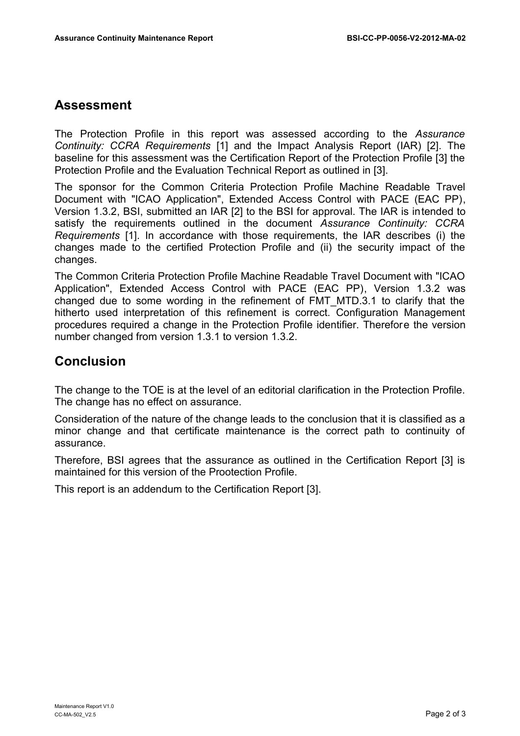#### **Assessment**

The Protection Profile in this report was assessed according to the *Assurance Continuity: CCRA Requirements* [1] and the Impact Analysis Report (IAR) [2]. The baseline for this assessment was the Certification Report of the Protection Profile [3] the Protection Profile and the Evaluation Technical Report as outlined in [3].

The sponsor for the Common Criteria Protection Profile Machine Readable Travel Document with "ICAO Application", Extended Access Control with PACE (EAC PP), Version 1.3.2, BSI, submitted an IAR [2] to the BSI for approval. The IAR is intended to satisfy the requirements outlined in the document *Assurance Continuity: CCRA Requirements* [1]. In accordance with those requirements, the IAR describes (i) the changes made to the certified Protection Profile and (ii) the security impact of the changes.

The Common Criteria Protection Profile Machine Readable Travel Document with "ICAO Application", Extended Access Control with PACE (EAC PP), Version 1.3.2 was changed due to some wording in the refinement of FMT\_MTD.3.1 to clarify that the hitherto used interpretation of this refinement is correct. Configuration Management procedures required a change in the Protection Profile identifier. Therefore the version number changed from version 1.3.1 to version 1.3.2.

### **Conclusion**

The change to the TOE is at the level of an editorial clarification in the Protection Profile. The change has no effect on assurance.

Consideration of the nature of the change leads to the conclusion that it is classified as a minor change and that certificate maintenance is the correct path to continuity of assurance.

Therefore, BSI agrees that the assurance as outlined in the Certification Report [3] is maintained for this version of the Prootection Profile.

This report is an addendum to the Certification Report [3].